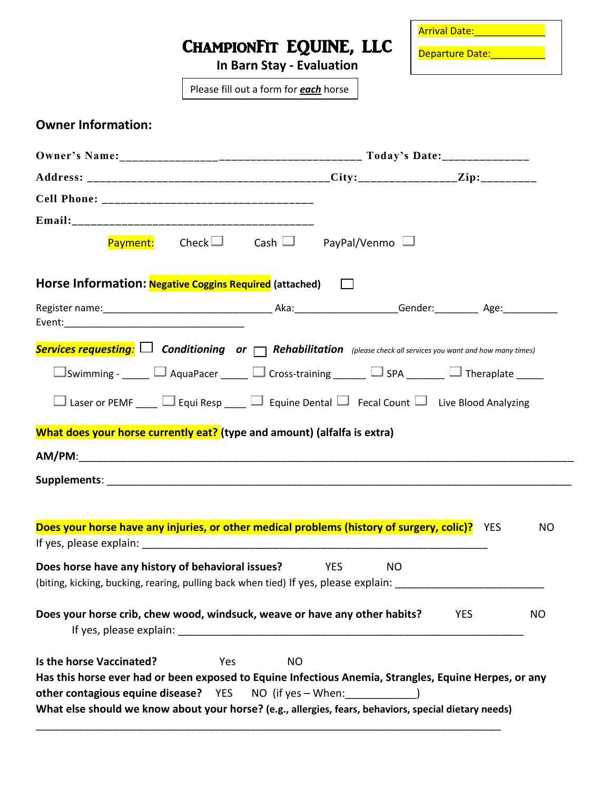|                                                                                                                                                                     |                                       |                                  |                                                              |  | <b>Arrival Date: Arrival Date:</b> |  |
|---------------------------------------------------------------------------------------------------------------------------------------------------------------------|---------------------------------------|----------------------------------|--------------------------------------------------------------|--|------------------------------------|--|
|                                                                                                                                                                     |                                       | <b>In Barn Stay - Evaluation</b> | CHAMPIONFIT EQUINE, LLC                                      |  | Departure Date: National Property  |  |
|                                                                                                                                                                     | Please fill out a form for each horse |                                  |                                                              |  |                                    |  |
| <b>Owner Information:</b>                                                                                                                                           |                                       |                                  |                                                              |  |                                    |  |
|                                                                                                                                                                     |                                       |                                  |                                                              |  |                                    |  |
|                                                                                                                                                                     |                                       |                                  |                                                              |  |                                    |  |
|                                                                                                                                                                     |                                       |                                  |                                                              |  |                                    |  |
|                                                                                                                                                                     |                                       |                                  |                                                              |  |                                    |  |
|                                                                                                                                                                     |                                       |                                  | <b>Payment:</b> Check $\Box$ Cash $\Box$ PayPal/Venmo $\Box$ |  |                                    |  |
| Horse Information: <b>Negative Coggins Required</b> (attached) $\Box$                                                                                               |                                       |                                  |                                                              |  |                                    |  |
|                                                                                                                                                                     |                                       |                                  |                                                              |  |                                    |  |
|                                                                                                                                                                     |                                       |                                  |                                                              |  |                                    |  |
| Services requesting: $\Box$ Conditioning or $\Box$ Rehabilitation (please check all services you want and how many times)                                           |                                       |                                  |                                                              |  |                                    |  |
| $\square$ Swimming - _____ $\square$ AquaPacer _____ $\square$ Cross-training ______ $\square$ SPA ______ $\square$ Theraplate _____                                |                                       |                                  |                                                              |  |                                    |  |
| □ Laser or PEMF ____ □ Equi Resp ____ □ Equine Dental □ Fecal Count □ Live Blood Analyzing                                                                          |                                       |                                  |                                                              |  |                                    |  |
| What does your horse currently eat? (type and amount) (alfalfa is extra)                                                                                            |                                       |                                  |                                                              |  |                                    |  |
|                                                                                                                                                                     |                                       |                                  |                                                              |  |                                    |  |
| $AM/PM$ :                                                                                                                                                           |                                       |                                  |                                                              |  |                                    |  |
|                                                                                                                                                                     |                                       |                                  |                                                              |  |                                    |  |
|                                                                                                                                                                     |                                       |                                  |                                                              |  |                                    |  |
| Does your horse have any injuries, or other medical problems (history of surgery, colic)?                                                                           |                                       |                                  |                                                              |  | <b>YES</b><br>NO                   |  |
|                                                                                                                                                                     |                                       |                                  |                                                              |  |                                    |  |
| Does horse have any history of behavioral issues?<br>(biting, kicking, bucking, rearing, pulling back when tied) If yes, please explain: __________________________ |                                       |                                  | <b>YES</b><br>NO.                                            |  |                                    |  |
|                                                                                                                                                                     |                                       |                                  |                                                              |  |                                    |  |
| Does your horse crib, chew wood, windsuck, weave or have any other habits?                                                                                          |                                       |                                  |                                                              |  | <b>YES</b><br>NO                   |  |
| Is the horse Vaccinated?                                                                                                                                            | <b>Yes</b>                            | <b>NO</b>                        |                                                              |  |                                    |  |
| Has this horse ever had or been exposed to Equine Infectious Anemia, Strangles, Equine Herpes, or any                                                               |                                       |                                  |                                                              |  |                                    |  |
| <b>other contagious equine disease?</b> YES NO (if yes – When: )                                                                                                    |                                       |                                  |                                                              |  |                                    |  |
| What else should we know about your horse? (e.g., allergies, fears, behaviors, special dietary needs)                                                               |                                       |                                  |                                                              |  |                                    |  |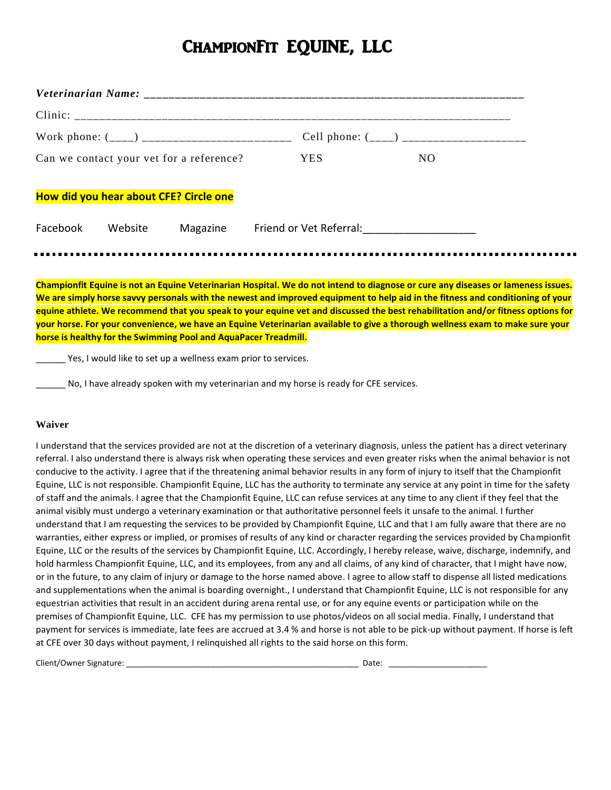### ChampionFit EQUINE, LLC

|                                          |         |          |            | Cell phone: $($ <sub>___</sub> ) _______________________ |
|------------------------------------------|---------|----------|------------|----------------------------------------------------------|
| Can we contact your vet for a reference? |         |          | <b>YES</b> | NO.                                                      |
| How did you hear about CFE? Circle one   |         |          |            |                                                          |
| Facebook                                 | Website | Magazine |            |                                                          |

**Championfit Equine is not an Equine Veterinarian Hospital. We do not intend to diagnose or cure any diseases or lameness issues. We are simply horse savvy personals with the newest and improved equipment to help aid in the fitness and conditioning of your equine athlete. We recommend that you speak to your equine vet and discussed the best rehabilitation and/or fitness options for your horse. For your convenience, we have an Equine Veterinarian available to give a thorough wellness exam to make sure your horse is healthy for the Swimming Pool and AquaPacer Treadmill.**

Yes, I would like to set up a wellness exam prior to services.

\_\_\_\_\_\_ No, I have already spoken with my veterinarian and my horse is ready for CFE services.

#### **Waiver**

I understand that the services provided are not at the discretion of a veterinary diagnosis, unless the patient has a direct veterinary referral. I also understand there is always risk when operating these services and even greater risks when the animal behavior is not conducive to the activity. I agree that if the threatening animal behavior results in any form of injury to itself that the Championfit Equine, LLC is not responsible. Championfit Equine, LLC has the authority to terminate any service at any point in time for the safety of staff and the animals. I agree that the Championfit Equine, LLC can refuse services at any time to any client if they feel that the animal visibly must undergo a veterinary examination or that authoritative personnel feels it unsafe to the animal. I further understand that I am requesting the services to be provided by Championfit Equine, LLC and that I am fully aware that there are no warranties, either express or implied, or promises of results of any kind or character regarding the services provided by Championfit Equine, LLC or the results of the services by Championfit Equine, LLC. Accordingly, I hereby release, waive, discharge, indemnify, and hold harmless Championfit Equine, LLC, and its employees, from any and all claims, of any kind of character, that I might have now, or in the future, to any claim of injury or damage to the horse named above. I agree to allow staff to dispense all listed medications and supplementations when the animal is boarding overnight., I understand that Championfit Equine, LLC is not responsible for any equestrian activities that result in an accident during arena rental use, or for any equine events or participation while on the premises of Championfit Equine, LLC. CFE has my permission to use photos/videos on all social media. Finally, I understand that payment for services is immediate, late fees are accrued at 3.4 % and horse is not able to be pick-up without payment. If horse is left at CFE over 30 days without payment, I relinquished all rights to the said horse on this form.

Client/Owner Signature: \_\_\_\_\_\_\_\_\_\_\_\_\_\_\_\_\_\_\_\_\_\_\_\_\_\_\_\_\_\_\_\_\_\_\_\_\_\_\_\_\_\_\_\_\_\_\_\_\_\_\_\_ Date: \_\_\_\_\_\_\_\_\_\_\_\_\_\_\_\_\_\_\_\_\_\_